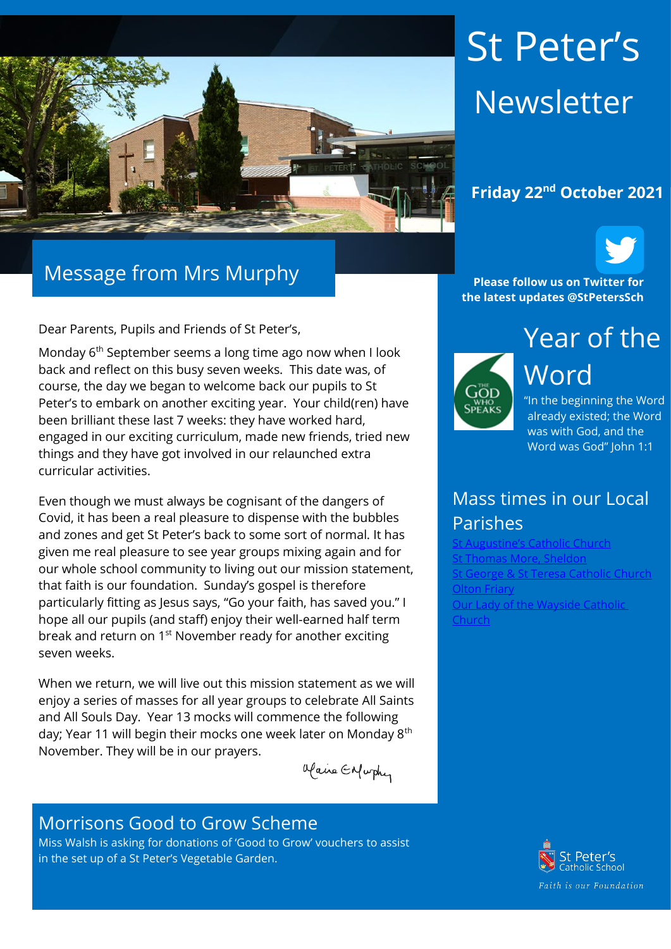

# Message from Mrs Murphy

Dear Parents, Pupils and Friends of St Peter's,

Monday 6<sup>th</sup> September seems a long time ago now when I look back and reflect on this busy seven weeks. This date was, of course, the day we began to welcome back our pupils to St Peter's to embark on another exciting year. Your child(ren) have been brilliant these last 7 weeks: they have worked hard, engaged in our exciting curriculum, made new friends, tried new things and they have got involved in our relaunched extra curricular activities.

Even though we must always be cognisant of the dangers of Covid, it has been a real pleasure to dispense with the bubbles and zones and get St Peter's back to some sort of normal. It has given me real pleasure to see year groups mixing again and for our whole school community to living out our mission statement, that faith is our foundation. Sunday's gospel is therefore particularly fitting as Jesus says, "Go your faith, has saved you." I hope all our pupils (and staff) enjoy their well-earned half term break and return on 1<sup>st</sup> November ready for another exciting seven weeks.

When we return, we will live out this mission statement as we will enjoy a series of masses for all year groups to celebrate All Saints and All Souls Day. Year 13 mocks will commence the following day; Year 11 will begin their mocks one week later on Monday 8<sup>th</sup> November. They will be in our prayers.

alaire Enfurthy

#### Morrisons Good to Grow Scheme

Miss Walsh is asking for donations of 'Good to Grow' vouchers to assist in the set up of a St Peter's Vegetable Garden.

# St Peter's Newsletter

#### **Friday 22nd October 2021**



**Please follow us on Twitter for the latest updates @StPetersSch**



Year of the Word "In the beginning the Word

already existed; the Word was with God, and the Word was God" John 1:1

## Mass times in our Local Parishes

Catholic Church [St Thomas More, Sheldon](https://www.stthomasmorercchurch.com/) Seorge & St Teresa Catholic Church [Olton Friary](https://www.oltonfriary.org.uk/) [Our Lady of the Wayside Catholic](http://ourladyofthewaysidechurchshirley.co.uk/)  [Church](http://ourladyofthewaysidechurchshirley.co.uk/)

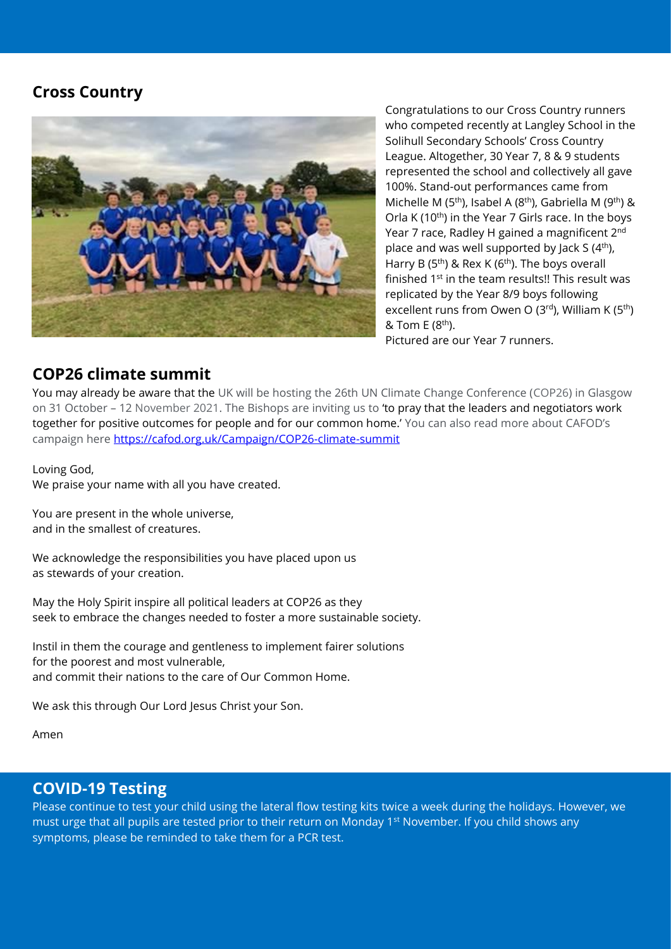#### **Cross Country**



Congratulations to our Cross Country runners who competed recently at Langley School in the Solihull Secondary Schools' Cross Country League. Altogether, 30 Year 7, 8 & 9 students represented the school and collectively all gave 100%. Stand-out performances came from Michelle M (5<sup>th</sup>), Isabel A (8<sup>th</sup>), Gabriella M (9<sup>th</sup>) & Orla K (10<sup>th</sup>) in the Year 7 Girls race. In the boys Year 7 race, Radley H gained a magnificent 2<sup>nd</sup> place and was well supported by Jack S  $(4<sup>th</sup>)$ , Harry B (5<sup>th</sup>) & Rex K (6<sup>th</sup>). The boys overall finished 1st in the team results!! This result was replicated by the Year 8/9 boys following excellent runs from Owen O ( $3<sup>rd</sup>$ ), William K ( $5<sup>th</sup>$ ) & Tom E  $(8<sup>th</sup>)$ . Pictured are our Year 7 runners.

#### **COP26 climate summit**

You may already be aware that the UK will be hosting the 26th UN Climate Change Conference (COP26) in Glasgow on 31 October – 12 November 2021. The Bishops are inviting us to 'to pray that the leaders and negotiators work together for positive outcomes for people and for our common home.' You can also read more about CAFOD's campaign here [https://cafod.org.uk/Campaign/COP26-climate-summit](https://protect-eu.mimecast.com/s/G6YoC3yr6uRk8KHDOAiN?domain=cafod.org.uk)

Loving God, We praise your name with all you have created.

You are present in the whole universe, and in the smallest of creatures.

We acknowledge the responsibilities you have placed upon us as stewards of your creation.

May the Holy Spirit inspire all political leaders at COP26 as they seek to embrace the changes needed to foster a more sustainable society.

Instil in them the courage and gentleness to implement fairer solutions for the poorest and most vulnerable, and commit their nations to the care of Our Common Home.

We ask this through Our Lord Jesus Christ your Son.

Amen

#### **COVID-19 Testing**

Please continue to test your child using the lateral flow testing kits twice a week during the holidays. However, we must urge that all pupils are tested prior to their return on Monday 1<sup>st</sup> November. If you child shows any symptoms, please be reminded to take them for a PCR test.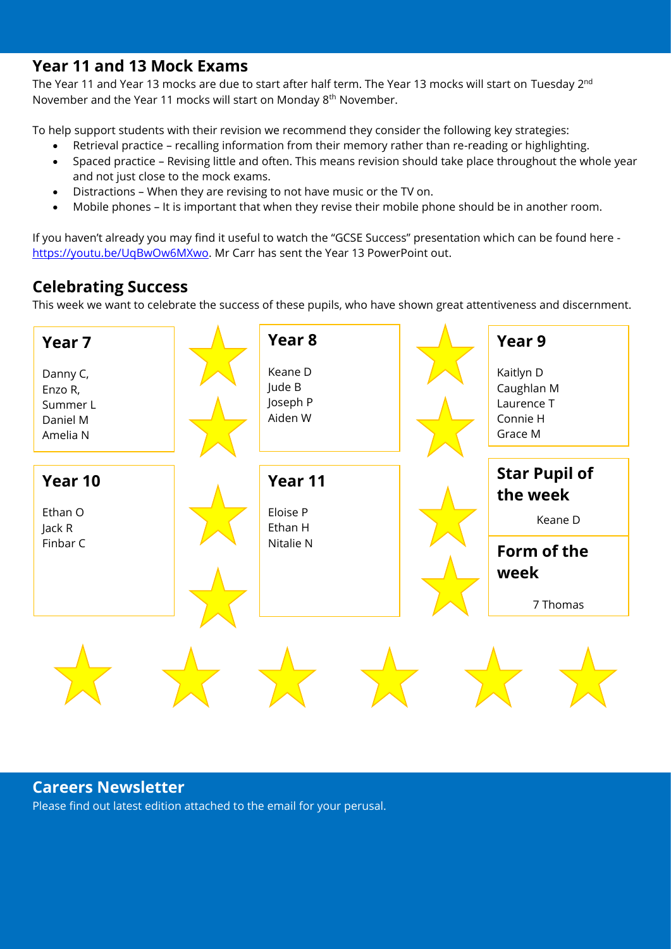#### **Year 11 and 13 Mock Exams**

The Year 11 and Year 13 mocks are due to start after half term. The Year 13 mocks will start on Tuesday 2<sup>nd</sup> November and the Year 11 mocks will start on Monday 8th November.

To help support students with their revision we recommend they consider the following key strategies:

- Retrieval practice recalling information from their memory rather than re-reading or highlighting.
- Spaced practice Revising little and often. This means revision should take place throughout the whole year and not just close to the mock exams.
- Distractions When they are revising to not have music or the TV on.
- Mobile phones It is important that when they revise their mobile phone should be in another room.

If you haven't already you may find it useful to watch the "GCSE Success" presentation which can be found here [https://youtu.be/UqBwOw6MXwo.](https://youtu.be/UqBwOw6MXwo) Mr Carr has sent the Year 13 PowerPoint out.

## **Celebrating Success**

This week we want to celebrate the success of these pupils, who have shown great attentiveness and discernment.



# **Careers Newsletter**

Please find out latest edition attached to the email for your perusal.